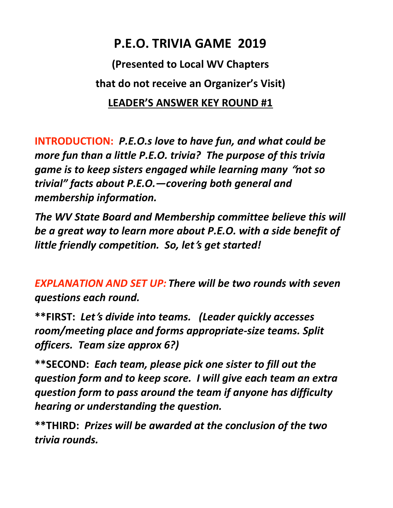## P.E.O. TRIVIA GAME 2019

(Presented to Local WV Chapters that do not receive an Organizer's Visit) LEADER'S ANSWER KEY ROUND #1

INTRODUCTION: P.E.O.s love to have fun, and what could be more fun than a little P.E.O. trivia? The purpose of this trivia game is to keep sisters engaged while learning many "not so trivial" facts about P.E.O.—covering both general and membership information.

The WV State Board and Membership committee believe this will be a great way to learn more about P.E.O. with a side benefit of little friendly competition. So, let's get started!

EXPLANATION AND SET UP: There will be two rounds with seven questions each round.

\*\*FIRST: Let's divide into teams. (Leader quickly accesses room/meeting place and forms appropriate-size teams. Split officers. Team size approx 6?)

\*\*SECOND: Each team, please pick one sister to fill out the question form and to keep score. I will give each team an extra question form to pass around the team if anyone has difficulty hearing or understanding the question.

\*\*THIRD: Prizes will be awarded at the conclusion of the two trivia rounds.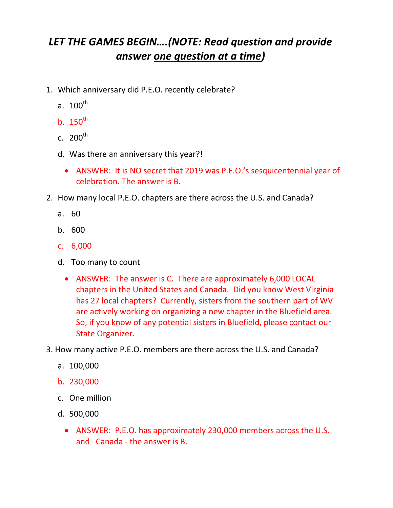## LET THE GAMES BEGIN….(NOTE: Read question and provide answer one question at a time)

- 1. Which anniversary did P.E.O. recently celebrate?
	- a.  $100^{\text{th}}$
	- b.  $150^{th}$
	- c.  $200^{th}$
	- d. Was there an anniversary this year?!
		- ANSWER: It is NO secret that 2019 was P.E.O.'s sesquicentennial year of celebration. The answer is B.
- 2. How many local P.E.O. chapters are there across the U.S. and Canada?
	- a. 60
	- b. 600
	- c. 6,000
	- d. Too many to count
		- ANSWER: The answer is C. There are approximately 6,000 LOCAL chapters in the United States and Canada. Did you know West Virginia has 27 local chapters? Currently, sisters from the southern part of WV are actively working on organizing a new chapter in the Bluefield area. So, if you know of any potential sisters in Bluefield, please contact our State Organizer.
- 3. How many active P.E.O. members are there across the U.S. and Canada?
	- a. 100,000
	- b. 230,000
	- c. One million
	- d. 500,000
		- ANSWER: P.E.O. has approximately 230,000 members across the U.S. and Canada - the answer is B.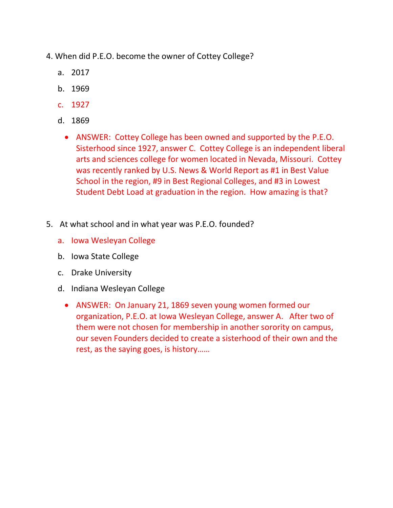- 4. When did P.E.O. become the owner of Cottey College?
	- a. 2017
	- b. 1969
	- c. 1927
	- d. 1869
		- ANSWER: Cottey College has been owned and supported by the P.E.O. Sisterhood since 1927, answer C. Cottey College is an independent liberal arts and sciences college for women located in Nevada, Missouri. Cottey was recently ranked by U.S. News & World Report as #1 in Best Value School in the region, #9 in Best Regional Colleges, and #3 in Lowest Student Debt Load at graduation in the region. How amazing is that?
- 5. At what school and in what year was P.E.O. founded?
	- a. Iowa Wesleyan College
	- b. Iowa State College
	- c. Drake University
	- d. Indiana Wesleyan College
		- ANSWER: On January 21, 1869 seven young women formed our organization, P.E.O. at Iowa Wesleyan College, answer A. After two of them were not chosen for membership in another sorority on campus, our seven Founders decided to create a sisterhood of their own and the rest, as the saying goes, is history……